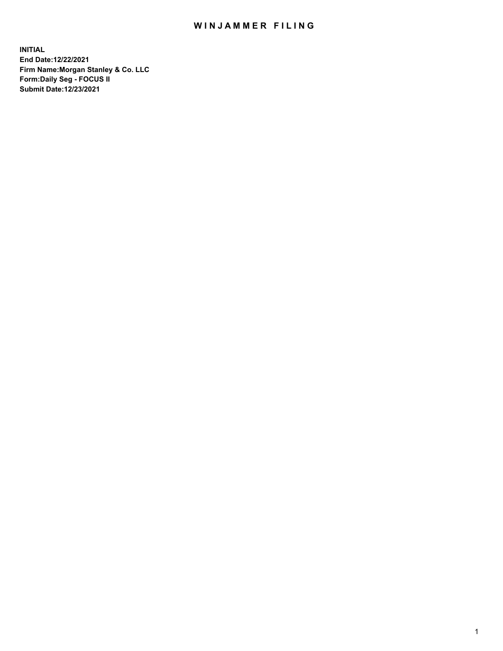## WIN JAMMER FILING

**INITIAL End Date:12/22/2021 Firm Name:Morgan Stanley & Co. LLC Form:Daily Seg - FOCUS II Submit Date:12/23/2021**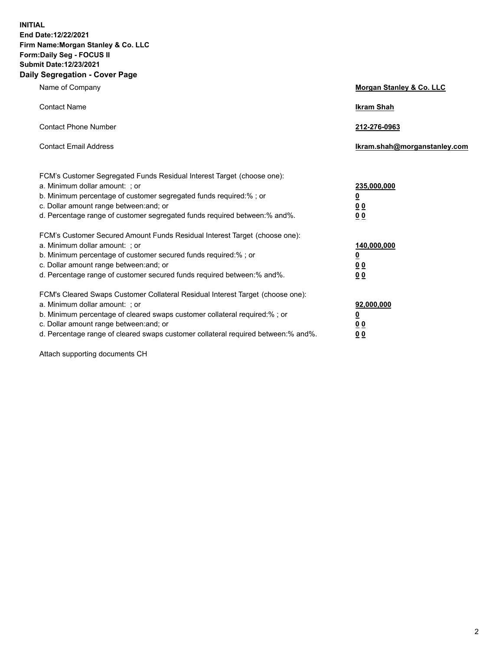**INITIAL End Date:12/22/2021 Firm Name:Morgan Stanley & Co. LLC Form:Daily Seg - FOCUS II Submit Date:12/23/2021 Daily Segregation - Cover Page**

| Name of Company                                                                                                                                                                                                                                                                                                                | Morgan Stanley & Co. LLC                                |
|--------------------------------------------------------------------------------------------------------------------------------------------------------------------------------------------------------------------------------------------------------------------------------------------------------------------------------|---------------------------------------------------------|
| <b>Contact Name</b>                                                                                                                                                                                                                                                                                                            | <b>Ikram Shah</b>                                       |
| <b>Contact Phone Number</b>                                                                                                                                                                                                                                                                                                    | 212-276-0963                                            |
| <b>Contact Email Address</b>                                                                                                                                                                                                                                                                                                   | Ikram.shah@morganstanley.com                            |
| FCM's Customer Segregated Funds Residual Interest Target (choose one):<br>a. Minimum dollar amount: ; or<br>b. Minimum percentage of customer segregated funds required:% ; or<br>c. Dollar amount range between: and; or<br>d. Percentage range of customer segregated funds required between:% and%.                         | 235,000,000<br><u>0</u><br>0 <sup>0</sup><br>00         |
| FCM's Customer Secured Amount Funds Residual Interest Target (choose one):<br>a. Minimum dollar amount: ; or<br>b. Minimum percentage of customer secured funds required:%; or<br>c. Dollar amount range between: and; or<br>d. Percentage range of customer secured funds required between:% and%.                            | 140,000,000<br><u>0</u><br><u>0 0</u><br>0 <sub>0</sub> |
| FCM's Cleared Swaps Customer Collateral Residual Interest Target (choose one):<br>a. Minimum dollar amount: ; or<br>b. Minimum percentage of cleared swaps customer collateral required:% ; or<br>c. Dollar amount range between: and; or<br>d. Percentage range of cleared swaps customer collateral required between:% and%. | 92,000,000<br><u>0</u><br><u>00</u><br>0 <sub>0</sub>   |

Attach supporting documents CH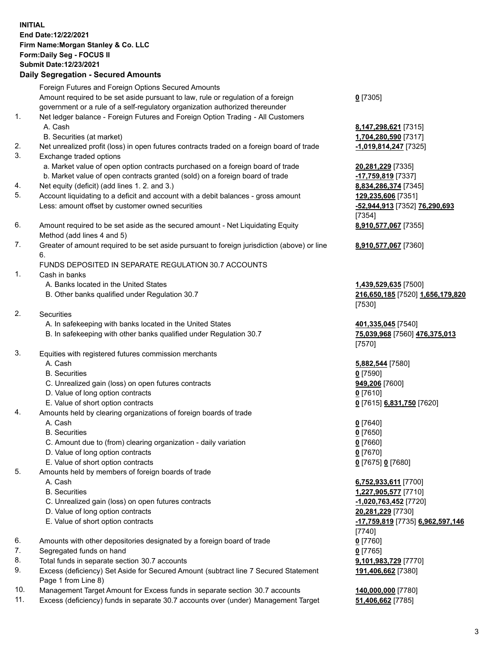## **INITIAL End Date:12/22/2021 Firm Name:Morgan Stanley & Co. LLC Form:Daily Seg - FOCUS II Submit Date:12/23/2021**

## **Daily Segregation - Secured Amounts**

Foreign Futures and Foreign Options Secured Amounts Amount required to be set aside pursuant to law, rule or regulation of a foreign government or a rule of a self-regulatory organization authorized thereunder

- 1. Net ledger balance Foreign Futures and Foreign Option Trading All Customers A. Cash **8,147,298,621** [7315]
	- B. Securities (at market) **1,704,280,590** [7317]
- 2. Net unrealized profit (loss) in open futures contracts traded on a foreign board of trade **-1,019,814,247** [7325]
- 3. Exchange traded options
	- a. Market value of open option contracts purchased on a foreign board of trade **20,281,229** [7335]
	- b. Market value of open contracts granted (sold) on a foreign board of trade **-17,759,819** [7337]
- 4. Net equity (deficit) (add lines 1. 2. and 3.) **8,834,286,374** [7345]
- 5. Account liquidating to a deficit and account with a debit balances gross amount **129,235,606** [7351] Less: amount offset by customer owned securities **-52,944,913** [7352] **76,290,693**
- 6. Amount required to be set aside as the secured amount Net Liquidating Equity Method (add lines 4 and 5)
- 7. Greater of amount required to be set aside pursuant to foreign jurisdiction (above) or line 6.

## FUNDS DEPOSITED IN SEPARATE REGULATION 30.7 ACCOUNTS

- 1. Cash in banks
	- A. Banks located in the United States **1,439,529,635** [7500]
	- B. Other banks qualified under Regulation 30.7 **216,650,185** [7520] **1,656,179,820**
- 2. Securities
	- A. In safekeeping with banks located in the United States **401,335,045** [7540]
	- B. In safekeeping with other banks qualified under Regulation 30.7 **75,039,968** [7560] **476,375,013**
- 3. Equities with registered futures commission merchants
	-
	- B. Securities **0** [7590]
	- C. Unrealized gain (loss) on open futures contracts **949,206** [7600]
	- D. Value of long option contracts **0** [7610]
	- E. Value of short option contracts **0** [7615] **6,831,750** [7620]
- 4. Amounts held by clearing organizations of foreign boards of trade
	- A. Cash **0** [7640]
	- B. Securities **0** [7650]
	- C. Amount due to (from) clearing organization daily variation **0** [7660]
	- D. Value of long option contracts **0** [7670]
	- E. Value of short option contracts **0** [7675] **0** [7680]
- 5. Amounts held by members of foreign boards of trade
	-
	-
	- C. Unrealized gain (loss) on open futures contracts **-1,020,763,452** [7720]
	- D. Value of long option contracts **20,281,229** [7730]
	- E. Value of short option contracts **-17,759,819** [7735] **6,962,597,146**
- 6. Amounts with other depositories designated by a foreign board of trade **0** [7760]
- 7. Segregated funds on hand **0** [7765]
- 8. Total funds in separate section 30.7 accounts **9,101,983,729** [7770]
- 9. Excess (deficiency) Set Aside for Secured Amount (subtract line 7 Secured Statement Page 1 from Line 8)
- 10. Management Target Amount for Excess funds in separate section 30.7 accounts **140,000,000** [7780]
- 11. Excess (deficiency) funds in separate 30.7 accounts over (under) Management Target **51,406,662** [7785]

**0** [7305]

[7354] **8,910,577,067** [7355]

**8,910,577,067** [7360]

[7530]

[7570]

A. Cash **5,882,544** [7580]

 A. Cash **6,752,933,611** [7700] B. Securities **1,227,905,577** [7710] [7740] **191,406,662** [7380]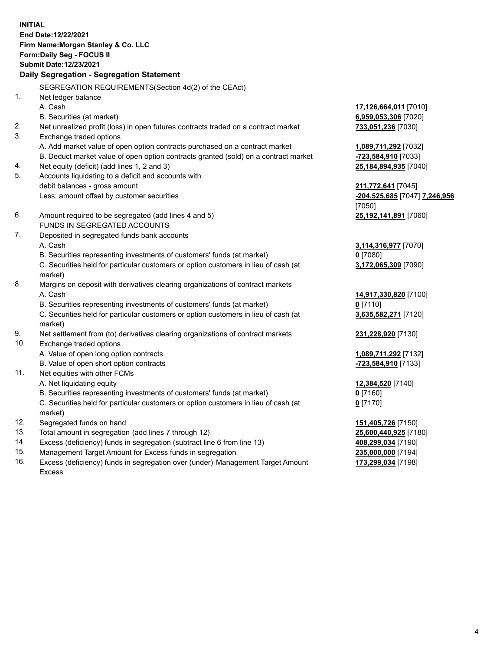**INITIAL End Date:12/22/2021 Firm Name:Morgan Stanley & Co. LLC Form:Daily Seg - FOCUS II Submit Date:12/23/2021 Daily Segregation - Segregation Statement** SEGREGATION REQUIREMENTS(Section 4d(2) of the CEAct) 1. Net ledger balance A. Cash **17,126,664,011** [7010] B. Securities (at market) **6,959,053,306** [7020] 2. Net unrealized profit (loss) in open futures contracts traded on a contract market **733,051,236** [7030] 3. Exchange traded options A. Add market value of open option contracts purchased on a contract market **1,089,711,292** [7032] B. Deduct market value of open option contracts granted (sold) on a contract market **-723,584,910** [7033] 4. Net equity (deficit) (add lines 1, 2 and 3) **25,184,894,935** [7040] 5. Accounts liquidating to a deficit and accounts with debit balances - gross amount **211,772,641** [7045] Less: amount offset by customer securities **-204,525,685** [7047] **7,246,956** [7050] 6. Amount required to be segregated (add lines 4 and 5) **25,192,141,891** [7060] FUNDS IN SEGREGATED ACCOUNTS 7. Deposited in segregated funds bank accounts A. Cash **3,114,316,977** [7070] B. Securities representing investments of customers' funds (at market) **0** [7080] C. Securities held for particular customers or option customers in lieu of cash (at market) **3,172,065,309** [7090] 8. Margins on deposit with derivatives clearing organizations of contract markets A. Cash **14,917,330,820** [7100] B. Securities representing investments of customers' funds (at market) **0** [7110] C. Securities held for particular customers or option customers in lieu of cash (at market) **3,635,582,271** [7120] 9. Net settlement from (to) derivatives clearing organizations of contract markets **231,228,920** [7130] 10. Exchange traded options A. Value of open long option contracts **1,089,711,292** [7132] B. Value of open short option contracts **-723,584,910** [7133] 11. Net equities with other FCMs A. Net liquidating equity **12,384,520** [7140] B. Securities representing investments of customers' funds (at market) **0** [7160] C. Securities held for particular customers or option customers in lieu of cash (at market) **0** [7170] 12. Segregated funds on hand **151,405,726** [7150] 13. Total amount in segregation (add lines 7 through 12) **25,600,440,925** [7180] 14. Excess (deficiency) funds in segregation (subtract line 6 from line 13) **408,299,034** [7190]

- 15. Management Target Amount for Excess funds in segregation **235,000,000** [7194]
- 16. Excess (deficiency) funds in segregation over (under) Management Target Amount Excess

**173,299,034** [7198]